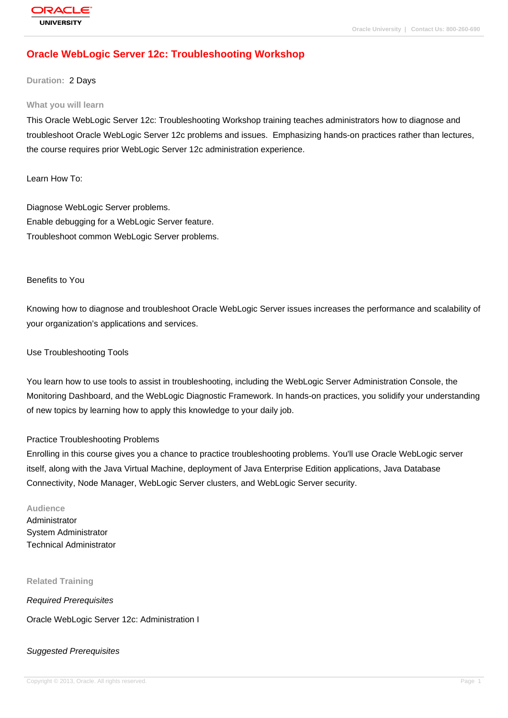# **[Oracle WebLog](http://education.oracle.com/pls/web_prod-plq-dad/db_pages.getpage?page_id=3)ic Server 12c: Troubleshooting Workshop**

#### **Duration:** 2 Days

#### **What you will learn**

This Oracle WebLogic Server 12c: Troubleshooting Workshop training teaches administrators how to diagnose and troubleshoot Oracle WebLogic Server 12c problems and issues. Emphasizing hands-on practices rather than lectures, the course requires prior WebLogic Server 12c administration experience.

Learn How To:

Diagnose WebLogic Server problems. Enable debugging for a WebLogic Server feature. Troubleshoot common WebLogic Server problems.

#### Benefits to You

Knowing how to diagnose and troubleshoot Oracle WebLogic Server issues increases the performance and scalability of your organization's applications and services.

#### Use Troubleshooting Tools

You learn how to use tools to assist in troubleshooting, including the WebLogic Server Administration Console, the Monitoring Dashboard, and the WebLogic Diagnostic Framework. In hands-on practices, you solidify your understanding of new topics by learning how to apply this knowledge to your daily job.

#### Practice Troubleshooting Problems

Enrolling in this course gives you a chance to practice troubleshooting problems. You'll use Oracle WebLogic server itself, along with the Java Virtual Machine, deployment of Java Enterprise Edition applications, Java Database Connectivity, Node Manager, WebLogic Server clusters, and WebLogic Server security.

#### **Audience**

Administrator System Administrator Technical Administrator

**Related Training**

Required Prerequisites

Oracle WebLogic Server 12c: Administration I

# Suggested Prerequisites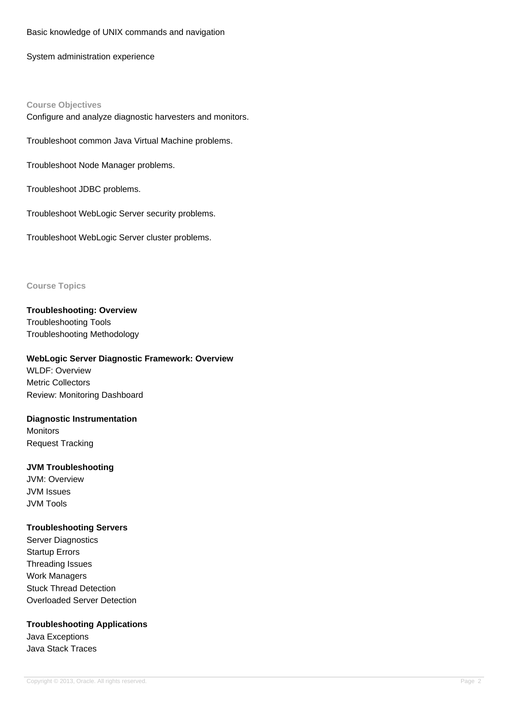### Basic knowledge of UNIX commands and navigation

System administration experience

# **Course Objectives**

Configure and analyze diagnostic harvesters and monitors.

Troubleshoot common Java Virtual Machine problems.

Troubleshoot Node Manager problems.

Troubleshoot JDBC problems.

Troubleshoot WebLogic Server security problems.

Troubleshoot WebLogic Server cluster problems.

## **Course Topics**

**Troubleshooting: Overview** Troubleshooting Tools Troubleshooting Methodology

# **WebLogic Server Diagnostic Framework: Overview**

WLDF: Overview Metric Collectors Review: Monitoring Dashboard

# **Diagnostic Instrumentation**

**Monitors** Request Tracking

## **JVM Troubleshooting**

JVM: Overview JVM Issues JVM Tools

## **Troubleshooting Servers**

Server Diagnostics Startup Errors Threading Issues Work Managers Stuck Thread Detection Overloaded Server Detection

## **Troubleshooting Applications**

Java Exceptions Java Stack Traces